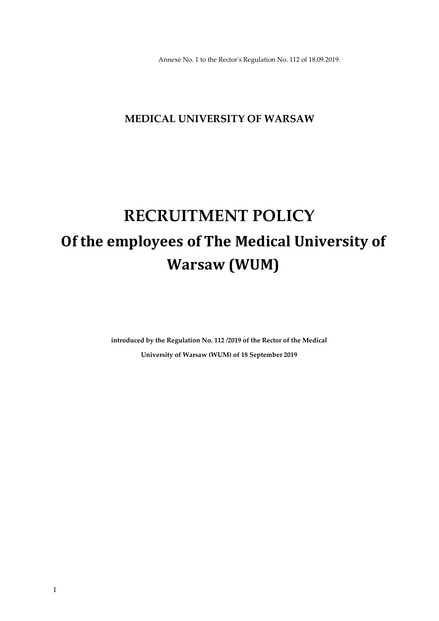Annexe No. 1 to the Rector's Regulation No. 112 of 18.09.2019.

## **MEDICAL UNIVERSITY OF WARSAW**

# **RECRUITMENT POLICY Of the employees of The Medical University of Warsaw (WUM)**

**introduced by the Regulation No. 112 /2019 of the Rector of the Medical University of Warsaw (WUM) of 18 September 2019**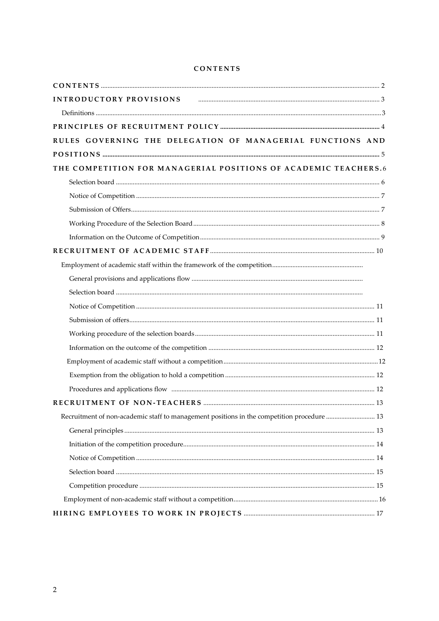## **CONTENTS**

| INTRODUCTORY PROVISIONS FROM THE CONSTRUCTION OF A SUBSECT OF A SALE OF A SALE OF A SALE OF A SALE OF A SALE O |  |
|----------------------------------------------------------------------------------------------------------------|--|
|                                                                                                                |  |
|                                                                                                                |  |
| RULES GOVERNING THE DELEGATION OF MANAGERIAL FUNCTIONS AND                                                     |  |
|                                                                                                                |  |
| THE COMPETITION FOR MANAGERIAL POSITIONS OF ACADEMIC TEACHERS.6                                                |  |
|                                                                                                                |  |
|                                                                                                                |  |
|                                                                                                                |  |
|                                                                                                                |  |
|                                                                                                                |  |
|                                                                                                                |  |
|                                                                                                                |  |
|                                                                                                                |  |
|                                                                                                                |  |
|                                                                                                                |  |
|                                                                                                                |  |
|                                                                                                                |  |
|                                                                                                                |  |
|                                                                                                                |  |
|                                                                                                                |  |
|                                                                                                                |  |
|                                                                                                                |  |
| Recruitment of non-academic staff to management positions in the competition procedure  13                     |  |
|                                                                                                                |  |
|                                                                                                                |  |
|                                                                                                                |  |
|                                                                                                                |  |
|                                                                                                                |  |
|                                                                                                                |  |
|                                                                                                                |  |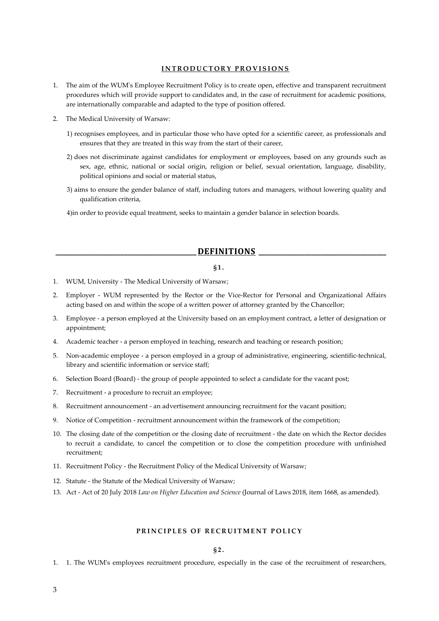## **INTRODUCTORY PROVISIONS**

- 1. The aim of the WUM's Employee Recruitment Policy is to create open, effective and transparent recruitment procedures which will provide support to candidates and, in the case of recruitment for academic positions, are internationally comparable and adapted to the type of position offered.
- 2. The Medical University of Warsaw:
	- 1) recognises employees, and in particular those who have opted for a scientific career, as professionals and ensures that they are treated in this way from the start of their career,
	- 2) does not discriminate against candidates for employment or employees, based on any grounds such as sex, age, ethnic, national or social origin, religion or belief, sexual orientation, language, disability, political opinions and social or material status,
	- 3) aims to ensure the gender balance of staff, including tutors and managers, without lowering quality and qualification criteria,

<span id="page-2-0"></span>4)in order to provide equal treatment, seeks to maintain a gender balance in selection boards.

## **\_\_\_\_\_\_\_\_\_\_\_\_\_\_\_\_\_\_\_\_\_\_\_\_\_\_\_\_\_\_\_\_\_\_\_\_\_\_\_\_\_\_\_ DEFINITIONS \_\_\_\_\_\_\_\_\_\_\_\_\_\_\_\_\_\_\_\_\_\_\_\_\_\_\_\_\_\_\_\_\_\_\_\_\_\_\_**

#### **§1.**

- 1. WUM, University The Medical University of Warsaw;
- 2. Employer WUM represented by the Rector or the Vice-Rector for Personal and Organizational Affairs acting based on and within the scope of a written power of attorney granted by the Chancellor;
- 3. Employee a person employed at the University based on an employment contract, a letter of designation or appointment;
- 4. Academic teacher a person employed in teaching, research and teaching or research position;
- 5. Non-academic employee a person employed in a group of administrative, engineering, scientific-technical, library and scientific information or service staff;
- 6. Selection Board (Board) the group of people appointed to select a candidate for the vacant post;
- 7. Recruitment a procedure to recruit an employee;
- 8. Recruitment announcement an advertisement announcing recruitment for the vacant position;
- 9. Notice of Competition recruitment announcement within the framework of the competition;
- 10. The closing date of the competition or the closing date of recruitment the date on which the Rector decides to recruit a candidate, to cancel the competition or to close the competition procedure with unfinished recruitment;
- 11. Recruitment Policy the Recruitment Policy of the Medical University of Warsaw;
- 12. Statute the Statute of the Medical University of Warsaw;
- 13. Act Act of 20 July 2018 *Law on Higher Education and Science* (Journal of Laws 2018, item 1668, as amended).

## **PRINCIPLES OF RECRUITMENT POLICY**

## **§2.**

1. 1. The WUM's employees recruitment procedure, especially in the case of the recruitment of researchers,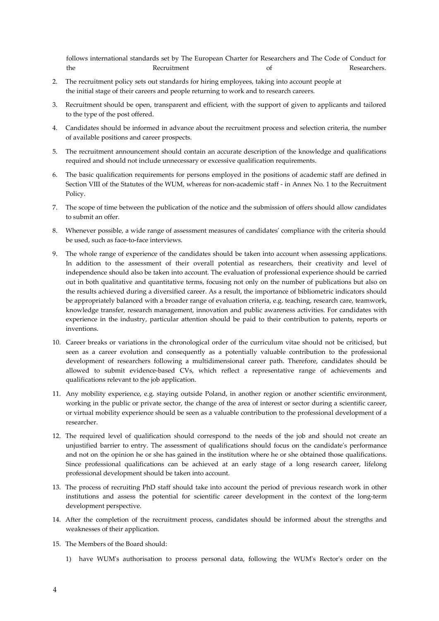follows international standards set by The European Charter for Researchers and The Code of Conduct for the Recruitment Recruitment of Researchers.

- 2. The recruitment policy sets out standards for hiring employees, taking into account people at the initial stage of their careers and people returning to work and to research careers.
- 3. Recruitment should be open, transparent and efficient, with the support of given to applicants and tailored to the type of the post offered.
- 4. Candidates should be informed in advance about the recruitment process and selection criteria, the number of available positions and career prospects.
- 5. The recruitment announcement should contain an accurate description of the knowledge and qualifications required and should not include unnecessary or excessive qualification requirements.
- 6. The basic qualification requirements for persons employed in the positions of academic staff are defined in Section VIII of the Statutes of the WUM, whereas for non-academic staff - in Annex No. 1 to the Recruitment Policy.
- 7. The scope of time between the publication of the notice and the submission of offers should allow candidates to submit an offer.
- 8. Whenever possible, a wide range of assessment measures of candidates' compliance with the criteria should be used, such as face-to-face interviews.
- 9. The whole range of experience of the candidates should be taken into account when assessing applications. In addition to the assessment of their overall potential as researchers, their creativity and level of independence should also be taken into account. The evaluation of professional experience should be carried out in both qualitative and quantitative terms, focusing not only on the number of publications but also on the results achieved during a diversified career. As a result, the importance of bibliometric indicators should be appropriately balanced with a broader range of evaluation criteria, e.g. teaching, research care, teamwork, knowledge transfer, research management, innovation and public awareness activities. For candidates with experience in the industry, particular attention should be paid to their contribution to patents, reports or inventions.
- 10. Career breaks or variations in the chronological order of the curriculum vitae should not be criticised, but seen as a career evolution and consequently as a potentially valuable contribution to the professional development of researchers following a multidimensional career path. Therefore, candidates should be allowed to submit evidence-based CVs, which reflect a representative range of achievements and qualifications relevant to the job application.
- 11. Any mobility experience, e.g. staying outside Poland, in another region or another scientific environment, working in the public or private sector, the change of the area of interest or sector during a scientific career, or virtual mobility experience should be seen as a valuable contribution to the professional development of a researcher.
- 12. The required level of qualification should correspond to the needs of the job and should not create an unjustified barrier to entry. The assessment of qualifications should focus on the candidate's performance and not on the opinion he or she has gained in the institution where he or she obtained those qualifications. Since professional qualifications can be achieved at an early stage of a long research career, lifelong professional development should be taken into account.
- 13. The process of recruiting PhD staff should take into account the period of previous research work in other institutions and assess the potential for scientific career development in the context of the long-term development perspective.
- 14. After the completion of the recruitment process, candidates should be informed about the strengths and weaknesses of their application.
- 15. The Members of the Board should:
	- 1) have WUM's authorisation to process personal data, following the WUM's Rector's order on the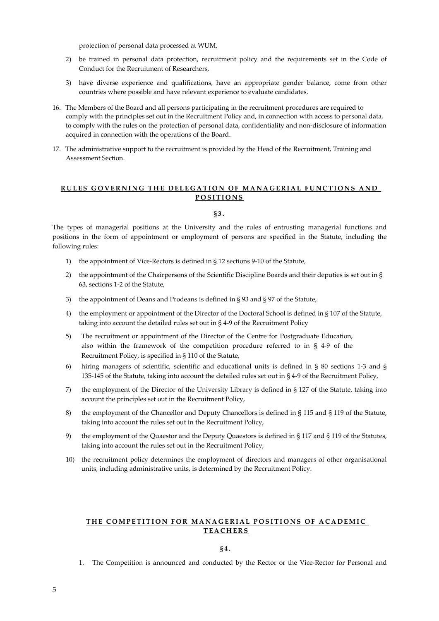protection of personal data processed at WUM,

- 2) be trained in personal data protection, recruitment policy and the requirements set in the Code of Conduct for the Recruitment of Researchers,
- 3) have diverse experience and qualifications, have an appropriate gender balance, come from other countries where possible and have relevant experience to evaluate candidates.
- 16. The Members of the Board and all persons participating in the recruitment procedures are required to comply with the principles set out in the Recruitment Policy and, in connection with access to personal data, to comply with the rules on the protection of personal data, confidentiality and non-disclosure of information acquired in connection with the operations of the Board.
- 17. The administrative support to the recruitment is provided by the Head of the Recruitment, Training and Assessment Section.

## **RULES GOVERNING THE DELEGATION OF MANAGERIAL FUNCTIONS AND POSITIONS**

## **§3.**

The types of managerial positions at the University and the rules of entrusting managerial functions and positions in the form of appointment or employment of persons are specified in the Statute, including the following rules:

- 1) the appointment of Vice-Rectors is defined in § 12 sections 9-10 of the Statute,
- 2) the appointment of the Chairpersons of the Scientific Discipline Boards and their deputies is set out in § 63, sections 1-2 of the Statute,
- 3) the appointment of Deans and Prodeans is defined in § 93 and § 97 of the Statute,
- 4) the employment or appointment of the Director of the Doctoral School is defined in § 107 of the Statute, taking into account the detailed rules set out in § 4-9 of the Recruitment Policy
- 5) The recruitment or appointment of the Director of the Centre for Postgraduate Education, also within the framework of the competition procedure referred to in § 4-9 of the Recruitment Policy, is specified in § 110 of the Statute,
- 6) hiring managers of scientific, scientific and educational units is defined in § 80 sections 1-3 and § 135-145 of the Statute, taking into account the detailed rules set out in § 4-9 of the Recruitment Policy,
- 7) the employment of the Director of the University Library is defined in § 127 of the Statute, taking into account the principles set out in the Recruitment Policy,
- 8) the employment of the Chancellor and Deputy Chancellors is defined in § 115 and § 119 of the Statute, taking into account the rules set out in the Recruitment Policy,
- 9) the employment of the Quaestor and the Deputy Quaestors is defined in § 117 and § 119 of the Statutes, taking into account the rules set out in the Recruitment Policy,
- 10) the recruitment policy determines the employment of directors and managers of other organisational units, including administrative units, is determined by the Recruitment Policy.

## **THE COMPETITION FOR MANAGERIAL POSITIONS OF ACADEMIC TEACHERS**

**§4.**

1. The Competition is announced and conducted by the Rector or the Vice-Rector for Personal and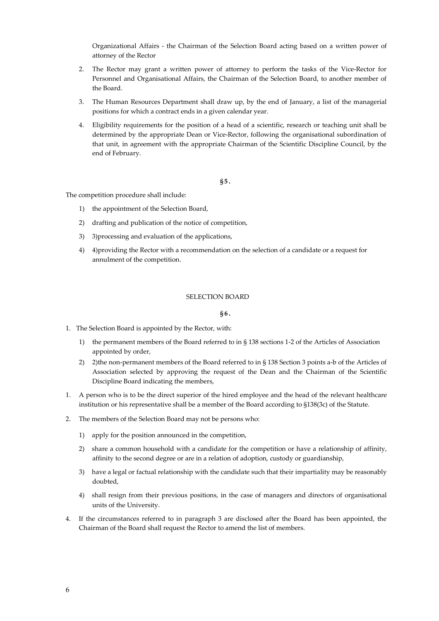Organizational Affairs - the Chairman of the Selection Board acting based on a written power of attorney of the Rector

- 2. The Rector may grant a written power of attorney to perform the tasks of the Vice-Rector for Personnel and Organisational Affairs, the Chairman of the Selection Board, to another member of the Board.
- 3. The Human Resources Department shall draw up, by the end of January, a list of the managerial positions for which a contract ends in a given calendar year.
- 4. Eligibility requirements for the position of a head of a scientific, research or teaching unit shall be determined by the appropriate Dean or Vice-Rector, following the organisational subordination of that unit, in agreement with the appropriate Chairman of the Scientific Discipline Council, by the end of February.

**§5.**

The competition procedure shall include:

- 1) the appointment of the Selection Board,
- 2) drafting and publication of the notice of competition,
- 3) 3)processing and evaluation of the applications,
- 4) 4)providing the Rector with a recommendation on the selection of a candidate or a request for annulment of the competition.

## SELECTION BOARD

**§6.**

- 1. The Selection Board is appointed by the Rector, with:
	- 1) the permanent members of the Board referred to in § 138 sections 1-2 of the Articles of Association appointed by order,
	- 2) 2) the non-permanent members of the Board referred to in § 138 Section 3 points a-b of the Articles of Association selected by approving the request of the Dean and the Chairman of the Scientific Discipline Board indicating the members,
- 1. A person who is to be the direct superior of the hired employee and the head of the relevant healthcare institution or his representative shall be a member of the Board according to §138(3c) of the Statute.
- 2. The members of the Selection Board may not be persons who:
	- 1) apply for the position announced in the competition,
	- 2) share a common household with a candidate for the competition or have a relationship of affinity, affinity to the second degree or are in a relation of adoption, custody or guardianship,
	- 3) have a legal or factual relationship with the candidate such that their impartiality may be reasonably doubted,
	- 4) shall resign from their previous positions, in the case of managers and directors of organisational units of the University.
- 4. If the circumstances referred to in paragraph 3 are disclosed after the Board has been appointed, the Chairman of the Board shall request the Rector to amend the list of members.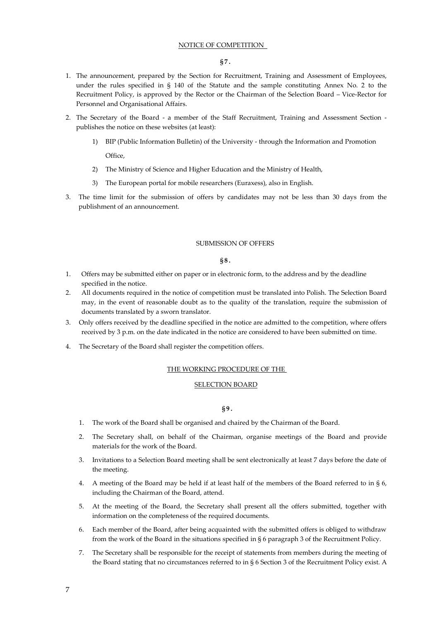## NOTICE OF COMPETITION

#### **§7.**

- 1. The announcement, prepared by the Section for Recruitment, Training and Assessment of Employees, under the rules specified in § 140 of the Statute and the sample constituting Annex No. 2 to the Recruitment Policy, is approved by the Rector or the Chairman of the Selection Board – Vice-Rector for Personnel and Organisational Affairs.
- 2. The Secretary of the Board a member of the Staff Recruitment, Training and Assessment Section publishes the notice on these websites (at least):
	- 1) BIP (Public Information Bulletin) of the University through the Information and Promotion Office,
	- 2) The Ministry of Science and Higher Education and the Ministry of Health,
	- 3) The European portal for mobile researchers (Euraxess), also in English.
- 3. The time limit for the submission of offers by candidates may not be less than 30 days from the publishment of an announcement.

#### SUBMISSION OF OFFERS

## **§8.**

- 1. Offers may be submitted either on paper or in electronic form, to the address and by the deadline specified in the notice.
- 2. All documents required in the notice of competition must be translated into Polish. The Selection Board may, in the event of reasonable doubt as to the quality of the translation, require the submission of documents translated by a sworn translator.
- 3. Only offers received by the deadline specified in the notice are admitted to the competition, where offers received by 3 p.m. on the date indicated in the notice are considered to have been submitted on time.
- 4. The Secretary of the Board shall register the competition offers.

## THE WORKING PROCEDURE OF THE

## SELECTION BOARD

## **§9.**

- 1. The work of the Board shall be organised and chaired by the Chairman of the Board.
- 2. The Secretary shall, on behalf of the Chairman, organise meetings of the Board and provide materials for the work of the Board.
- 3. Invitations to a Selection Board meeting shall be sent electronically at least 7 days before the date of the meeting.
- 4. A meeting of the Board may be held if at least half of the members of the Board referred to in § 6, including the Chairman of the Board, attend.
- 5. At the meeting of the Board, the Secretary shall present all the offers submitted, together with information on the completeness of the required documents.
- 6. Each member of the Board, after being acquainted with the submitted offers is obliged to withdraw from the work of the Board in the situations specified in § 6 paragraph 3 of the Recruitment Policy.
- 7. The Secretary shall be responsible for the receipt of statements from members during the meeting of the Board stating that no circumstances referred to in § 6 Section 3 of the Recruitment Policy exist. A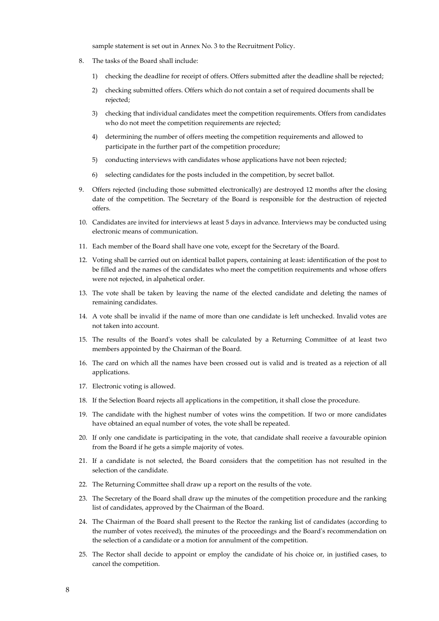sample statement is set out in Annex No. 3 to the Recruitment Policy.

- 8. The tasks of the Board shall include:
	- 1) checking the deadline for receipt of offers. Offers submitted after the deadline shall be rejected;
	- 2) checking submitted offers. Offers which do not contain a set of required documents shall be rejected;
	- 3) checking that individual candidates meet the competition requirements. Offers from candidates who do not meet the competition requirements are rejected;
	- 4) determining the number of offers meeting the competition requirements and allowed to participate in the further part of the competition procedure;
	- 5) conducting interviews with candidates whose applications have not been rejected;
	- 6) selecting candidates for the posts included in the competition, by secret ballot.
- 9. Offers rejected (including those submitted electronically) are destroyed 12 months after the closing date of the competition. The Secretary of the Board is responsible for the destruction of rejected offers.
- 10. Candidates are invited for interviews at least 5 days in advance. Interviews may be conducted using electronic means of communication.
- 11. Each member of the Board shall have one vote, except for the Secretary of the Board.
- 12. Voting shall be carried out on identical ballot papers, containing at least: identification of the post to be filled and the names of the candidates who meet the competition requirements and whose offers were not rejected, in alpahetical order.
- 13. The vote shall be taken by leaving the name of the elected candidate and deleting the names of remaining candidates.
- 14. A vote shall be invalid if the name of more than one candidate is left unchecked. Invalid votes are not taken into account.
- 15. The results of the Board's votes shall be calculated by a Returning Committee of at least two members appointed by the Chairman of the Board.
- 16. The card on which all the names have been crossed out is valid and is treated as a rejection of all applications.
- 17. Electronic voting is allowed.
- 18. If the Selection Board rejects all applications in the competition, it shall close the procedure.
- 19. The candidate with the highest number of votes wins the competition. If two or more candidates have obtained an equal number of votes, the vote shall be repeated.
- 20. If only one candidate is participating in the vote, that candidate shall receive a favourable opinion from the Board if he gets a simple majority of votes.
- 21. If a candidate is not selected, the Board considers that the competition has not resulted in the selection of the candidate.
- 22. The Returning Committee shall draw up a report on the results of the vote.
- 23. The Secretary of the Board shall draw up the minutes of the competition procedure and the ranking list of candidates, approved by the Chairman of the Board.
- 24. The Chairman of the Board shall present to the Rector the ranking list of candidates (according to the number of votes received), the minutes of the proceedings and the Board's recommendation on the selection of a candidate or a motion for annulment of the competition.
- 25. The Rector shall decide to appoint or employ the candidate of his choice or, in justified cases, to cancel the competition.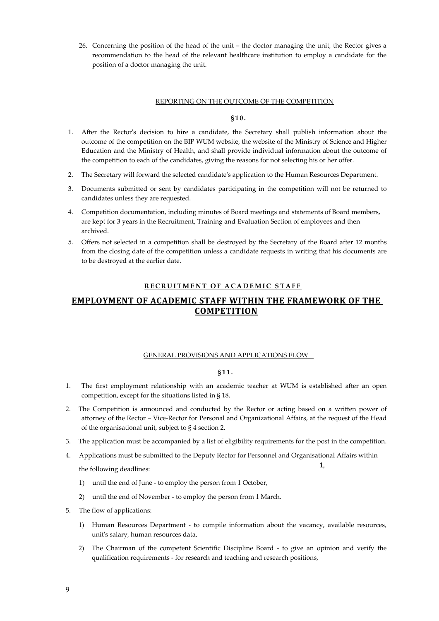26. Concerning the position of the head of the unit – the doctor managing the unit, the Rector gives a recommendation to the head of the relevant healthcare institution to employ a candidate for the position of a doctor managing the unit.

## REPORTING ON THE OUTCOME OF THE COMPETITION

## **§10.**

- 1. After the Rector's decision to hire a candidate, the Secretary shall publish information about the outcome of the competition on the BIP WUM website, the website of the Ministry of Science and Higher Education and the Ministry of Health, and shall provide individual information about the outcome of the competition to each of the candidates, giving the reasons for not selecting his or her offer.
- 2. The Secretary will forward the selected candidate's application to the Human Resources Department.
- 3. Documents submitted or sent by candidates participating in the competition will not be returned to candidates unless they are requested.
- 4. Competition documentation, including minutes of Board meetings and statements of Board members, are kept for 3 years in the Recruitment, Training and Evaluation Section of employees and then archived.
- 5. Offers not selected in a competition shall be destroyed by the Secretary of the Board after 12 months from the closing date of the competition unless a candidate requests in writing that his documents are to be destroyed at the earlier date.

## **RECRUITMENT OF ACADEMIC STAFF**

## **EMPLOYMENT OF ACADEMIC STAFF WITHIN THE FRAMEWORK OF THE COMPETITION**

## GENERAL PROVISIONS AND APPLICATIONS FLOW

#### **§11.**

- 1. The first employment relationship with an academic teacher at WUM is established after an open competition, except for the situations listed in § 18.
- 2. The Competition is announced and conducted by the Rector or acting based on a written power of attorney of the Rector – Vice-Rector for Personal and Organizational Affairs, at the request of the Head of the organisational unit, subject to § 4 section 2.
- 3. The application must be accompanied by a list of eligibility requirements for the post in the competition.
- 4. Applications must be submitted to the Deputy Rector for Personnel and Organisational Affairs within the following deadlines: 1,
	- 1) until the end of June to employ the person from 1 October,
	- 2) until the end of November to employ the person from 1 March.
- 5. The flow of applications:
	- 1) Human Resources Department to compile information about the vacancy, available resources, unit's salary, human resources data,
	- 2) The Chairman of the competent Scientific Discipline Board to give an opinion and verify the qualification requirements - for research and teaching and research positions,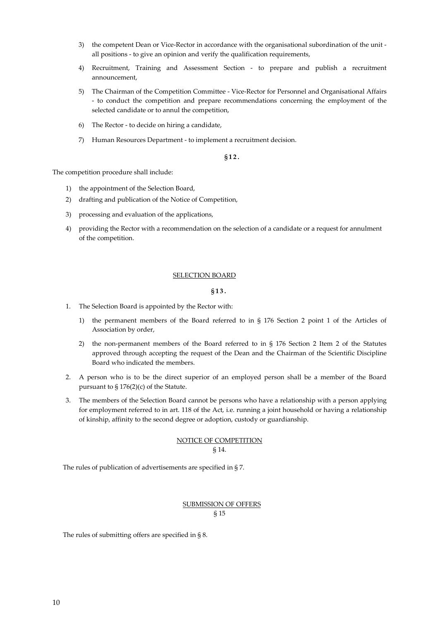- 3) the competent Dean or Vice-Rector in accordance with the organisational subordination of the unit all positions - to give an opinion and verify the qualification requirements,
- 4) Recruitment, Training and Assessment Section to prepare and publish a recruitment announcement,
- 5) The Chairman of the Competition Committee Vice-Rector for Personnel and Organisational Affairs - to conduct the competition and prepare recommendations concerning the employment of the selected candidate or to annul the competition,
- 6) The Rector to decide on hiring a candidate,
- 7) Human Resources Department to implement a recruitment decision.

## **§12.**

The competition procedure shall include:

- 1) the appointment of the Selection Board,
- 2) drafting and publication of the Notice of Competition,
- 3) processing and evaluation of the applications,
- 4) providing the Rector with a recommendation on the selection of a candidate or a request for annulment of the competition.

## SELECTION BOARD

## **§13.**

- 1. The Selection Board is appointed by the Rector with:
	- 1) the permanent members of the Board referred to in § 176 Section 2 point 1 of the Articles of Association by order,
	- 2) the non-permanent members of the Board referred to in § 176 Section 2 Item 2 of the Statutes approved through accepting the request of the Dean and the Chairman of the Scientific Discipline Board who indicated the members.
- 2. A person who is to be the direct superior of an employed person shall be a member of the Board pursuant to § 176(2)(c) of the Statute.
- 3. The members of the Selection Board cannot be persons who have a relationship with a person applying for employment referred to in art. 118 of the Act, i.e. running a joint household or having a relationship of kinship, affinity to the second degree or adoption, custody or guardianship.

## NOTICE OF COMPETITION § 14.

The rules of publication of advertisements are specified in § 7.

## SUBMISSION OF OFFERS § 15

The rules of submitting offers are specified in § 8.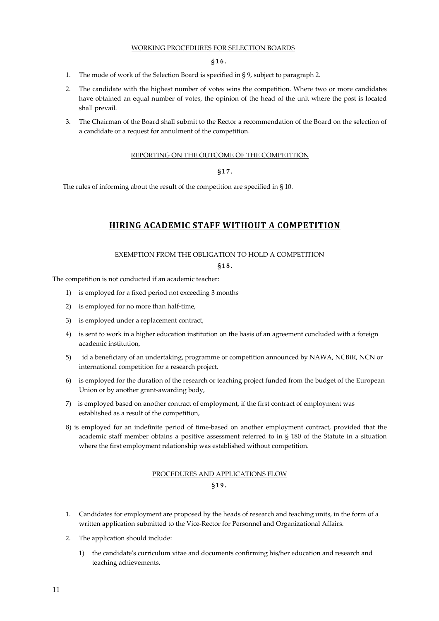## WORKING PROCEDURES FOR SELECTION BOARDS

## **§16.**

- 1. The mode of work of the Selection Board is specified in § 9, subject to paragraph 2.
- 2. The candidate with the highest number of votes wins the competition. Where two or more candidates have obtained an equal number of votes, the opinion of the head of the unit where the post is located shall prevail.
- 3. The Chairman of the Board shall submit to the Rector a recommendation of the Board on the selection of a candidate or a request for annulment of the competition.

## REPORTING ON THE OUTCOME OF THE COMPETITION

## **§17.**

The rules of informing about the result of the competition are specified in § 10.

## **HIRING ACADEMIC STAFF WITHOUT A COMPETITION**

## EXEMPTION FROM THE OBLIGATION TO HOLD A COMPETITION

#### **§18.**

The competition is not conducted if an academic teacher:

- 1) is employed for a fixed period not exceeding 3 months
- 2) is employed for no more than half-time,
- 3) is employed under a replacement contract,
- 4) is sent to work in a higher education institution on the basis of an agreement concluded with a foreign academic institution,
- 5) id a beneficiary of an undertaking, programme or competition announced by NAWA, NCBiR, NCN or international competition for a research project,
- 6) is employed for the duration of the research or teaching project funded from the budget of the European Union or by another grant-awarding body,
- 7) is employed based on another contract of employment, if the first contract of employment was established as a result of the competition,
- 8) is employed for an indefinite period of time-based on another employment contract, provided that the academic staff member obtains a positive assessment referred to in § 180 of the Statute in a situation where the first employment relationship was established without competition.

## PROCEDURES AND APPLICATIONS FLOW **§19.**

- 1. Candidates for employment are proposed by the heads of research and teaching units, in the form of a written application submitted to the Vice-Rector for Personnel and Organizational Affairs.
- 2. The application should include:
	- 1) the candidate's curriculum vitae and documents confirming his/her education and research and teaching achievements,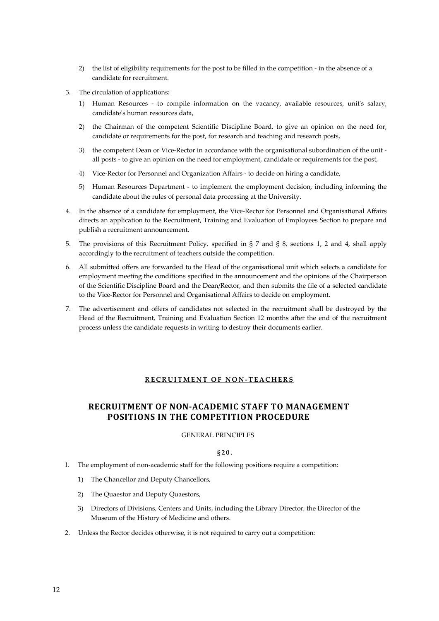- 2) the list of eligibility requirements for the post to be filled in the competition in the absence of a candidate for recruitment.
- 3. The circulation of applications:
	- 1) Human Resources to compile information on the vacancy, available resources, unit's salary, candidate's human resources data,
	- 2) the Chairman of the competent Scientific Discipline Board, to give an opinion on the need for, candidate or requirements for the post, for research and teaching and research posts,
	- 3) the competent Dean or Vice-Rector in accordance with the organisational subordination of the unit all posts - to give an opinion on the need for employment, candidate or requirements for the post,
	- 4) Vice-Rector for Personnel and Organization Affairs to decide on hiring a candidate,
	- 5) Human Resources Department to implement the employment decision, including informing the candidate about the rules of personal data processing at the University.
- 4. In the absence of a candidate for employment, the Vice-Rector for Personnel and Organisational Affairs directs an application to the Recruitment, Training and Evaluation of Employees Section to prepare and publish a recruitment announcement.
- 5. The provisions of this Recruitment Policy, specified in § 7 and § 8, sections 1, 2 and 4, shall apply accordingly to the recruitment of teachers outside the competition.
- 6. All submitted offers are forwarded to the Head of the organisational unit which selects a candidate for employment meeting the conditions specified in the announcement and the opinions of the Chairperson of the Scientific Discipline Board and the Dean/Rector, and then submits the file of a selected candidate to the Vice-Rector for Personnel and Organisational Affairs to decide on employment.
- 7. The advertisement and offers of candidates not selected in the recruitment shall be destroyed by the Head of the Recruitment, Training and Evaluation Section 12 months after the end of the recruitment process unless the candidate requests in writing to destroy their documents earlier.

## **RECRUITMENT OF NON - TEACHERS**

## **RECRUITMENT OF NON-ACADEMIC STAFF TO MANAGEMENT POSITIONS IN THE COMPETITION PROCEDURE**

## GENERAL PRINCIPLES

## **§20.**

- 1. The employment of non-academic staff for the following positions require a competition:
	- 1) The Chancellor and Deputy Chancellors,
	- 2) The Quaestor and Deputy Quaestors,
	- 3) Directors of Divisions, Centers and Units, including the Library Director, the Director of the Museum of the History of Medicine and others.
- 2. Unless the Rector decides otherwise, it is not required to carry out a competition: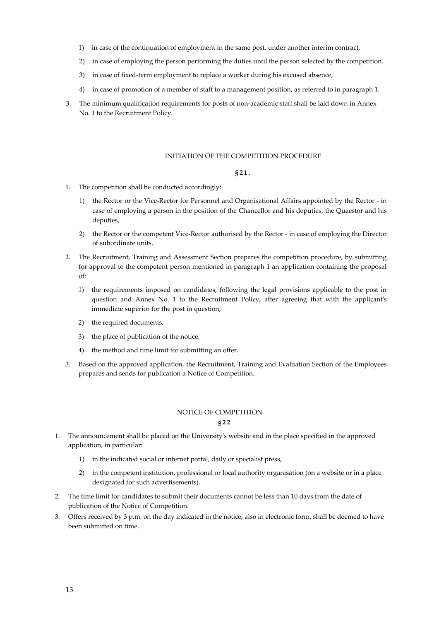- 1) in case of the continuation of employment in the same post, under another interim contract,
- 2) in case of employing the person performing the duties until the person selected by the competition.
- 3) in case of fixed-term employment to replace a worker during his excused absence,
- 4) in case of promotion of a member of staff to a management position, as referred to in paragraph 1.
- 3. The minimum qualification requirements for posts of non-academic staff shall be laid down in Annex No. 1 to the Recruitment Policy.

## INITIATION OF THE COMPETITION PROCEDURE

## **§21.**

- 1. The competition shall be conducted accordingly:
	- 1) the Rector or the Vice-Rector for Personnel and Organisational Affairs appointed by the Rector in case of employing a person in the position of the Chancellor and his deputies, the Quaestor and his deputies,
	- 2) the Rector or the competent Vice-Rector authorised by the Rector in case of employing the Director of subordinate units.
- 2. The Recruitment, Training and Assessment Section prepares the competition procedure, by submitting for approval to the competent person mentioned in paragraph 1 an application containing the proposal of:
	- 1) the requirements imposed on candidates, following the legal provisions applicable to the post in question and Annex No. 1 to the Recruitment Policy, after agreeing that with the applicant's immediate superior for the post in question,
	- 2) the required documents,
	- 3) the place of publication of the notice,
	- 4) the method and time limit for submitting an offer.
- 3. Based on the approved application, the Recruitment, Training and Evaluation Section of the Employees prepares and sends for publication a Notice of Competition.

## NOTICE OF COMPETITION

## **§22**

- 1. The announcement shall be placed on the University's website and in the place specified in the approved application, in particular:
	- 1) in the indicated social or internet portal, daily or specialist press,
	- 2) in the competent institution, professional or local authority organisation (on a website or in a place designated for such advertisements).
- 2. The time limit for candidates to submit their documents cannot be less than 10 days from the date of publication of the Notice of Competition.
- 3. Offers received by 3 p.m. on the day indicated in the notice, also in electronic form, shall be deemed to have been submitted on time.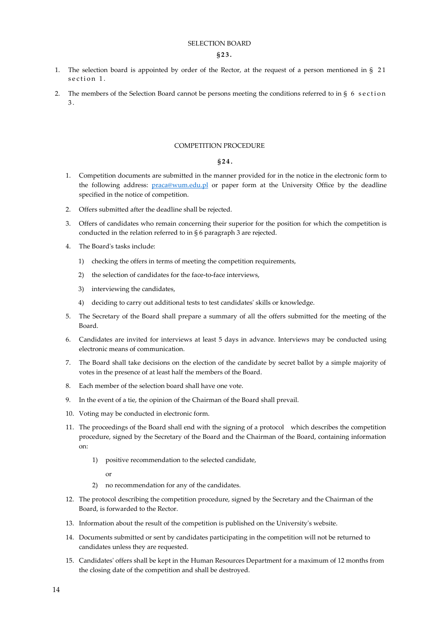## SELECTION BOARD

## **§23.**

- 1. The selection board is appointed by order of the Rector, at the request of a person mentioned in § 21 section 1.
- 2. The members of the Selection Board cannot be persons meeting the conditions referred to in § 6 section 3 .

#### COMPETITION PROCEDURE

## **§24.**

- 1. Competition documents are submitted in the manner provided for in the notice in the electronic form to the following address: [praca@wum.edu.pl](mailto:praca@wum.edu.pl) or paper form at the University Office by the deadline specified in the notice of competition.
- 2. Offers submitted after the deadline shall be rejected.
- 3. Offers of candidates who remain concerning their superior for the position for which the competition is conducted in the relation referred to in § 6 paragraph 3 are rejected.
- 4. The Board's tasks include:
	- 1) checking the offers in terms of meeting the competition requirements,
	- 2) the selection of candidates for the face-to-face interviews,
	- 3) interviewing the candidates,
	- 4) deciding to carry out additional tests to test candidates' skills or knowledge.
- 5. The Secretary of the Board shall prepare a summary of all the offers submitted for the meeting of the Board.
- 6. Candidates are invited for interviews at least 5 days in advance. Interviews may be conducted using electronic means of communication.
- 7. The Board shall take decisions on the election of the candidate by secret ballot by a simple majority of votes in the presence of at least half the members of the Board.
- 8. Each member of the selection board shall have one vote.
- 9. In the event of a tie, the opinion of the Chairman of the Board shall prevail.
- 10. Voting may be conducted in electronic form.
- 11. The proceedings of the Board shall end with the signing of a protocol which describes the competition procedure, signed by the Secretary of the Board and the Chairman of the Board, containing information on:
	- 1) positive recommendation to the selected candidate,

or

- 2) no recommendation for any of the candidates.
- 12. The protocol describing the competition procedure, signed by the Secretary and the Chairman of the Board, is forwarded to the Rector.
- 13. Information about the result of the competition is published on the University's website.
- 14. Documents submitted or sent by candidates participating in the competition will not be returned to candidates unless they are requested.
- 15. Candidates' offers shall be kept in the Human Resources Department for a maximum of 12 months from the closing date of the competition and shall be destroyed.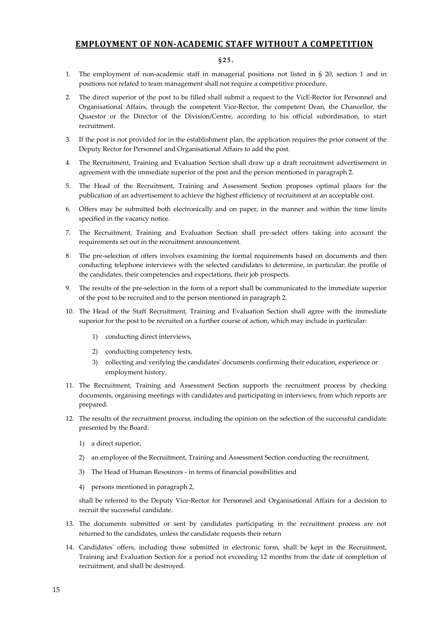## **EMPLOYMENT OF NON-ACADEMIC STAFF WITHOUT A COMPETITION**

## **§25.**

- 1. The employment of non-academic staff in managerial positions not listed in § 20, section 1 and in positions not related to team management shall not require a competitive procedure.
- 2. The direct superior of the post to be filled shall submit a request to the VicE-Rector for Personnel and Organisational Affairs, through the competent Vice-Rector, the competent Dean, the Chancellor, the Quaestor or the Director of the Division/Centre, according to his official subordination, to start recruitment.
- 3. If the post is not provided for in the establishment plan, the application requires the prior consent of the Deputy Rector for Personnel and Organisational Affairs to add the post.
- 4. The Recruitment, Training and Evaluation Section shall draw up a draft recruitment advertisement in agreement with the immediate superior of the post and the person mentioned in paragraph 2.
- 5. The Head of the Recruitment, Training and Assessment Section proposes optimal places for the publication of an advertisement to achieve the highest efficiency of recruitment at an acceptable cost.
- 6. Offers may be submitted both electronically and on paper, in the manner and within the time limits specified in the vacancy notice.
- 7. The Recruitment, Training and Evaluation Section shall pre-select offers taking into account the requirements set out in the recruitment announcement.
- 8. The pre-selection of offers involves examining the formal requirements based on documents and then conducting telephone interviews with the selected candidates to determine, in particular: the profile of the candidates, their competencies and expectations, their job prospects.
- 9. The results of the pre-selection in the form of a report shall be communicated to the immediate superior of the post to be recruited and to the person mentioned in paragraph 2.
- 10. The Head of the Staff Recruitment, Training and Evaluation Section shall agree with the immediate superior for the post to be recruited on a further course of action, which may include in particular:
	- 1) conducting direct interviews,
	- 2) conducting competency tests,
	- 3) collecting and verifying the candidates' documents confirming their education, experience or employment history.
- 11. The Recruitment, Training and Assessment Section supports the recruitment process by checking documents, organising meetings with candidates and participating in interviews, from which reports are prepared.
- 12. The results of the recruitment process, including the opinion on the selection of the successful candidate presented by the Board:
	- 1) a direct superior,
	- 2) an employee of the Recruitment, Training and Assessment Section conducting the recruitment,
	- 3) The Head of Human Resources in terms of financial possibilities and
	- 4) persons mentioned in paragraph 2,

shall be referred to the Deputy Vice-Rector for Personnel and Organisational Affairs for a decision to recruit the successful candidate.

- 13. The documents submitted or sent by candidates participating in the recruitment process are not returned to the candidates, unless the candidate requests their return
- 14. Candidates' offers, including those submitted in electronic form, shall be kept in the Recruitment, Training and Evaluation Section for a period not exceeding 12 months from the date of completion of recruitment, and shall be destroyed.